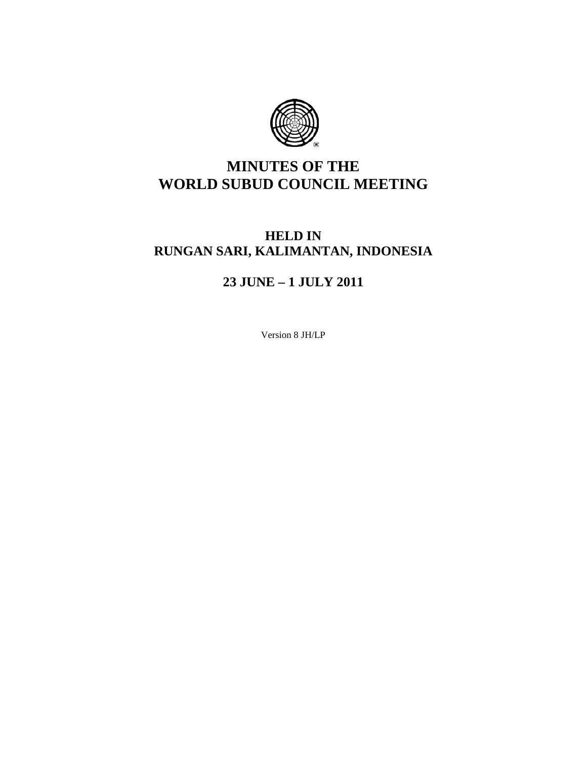

# **MINUTES OF THE WORLD SUBUD COUNCIL MEETING**

# **HELD IN RUNGAN SARI, KALIMANTAN, INDONESIA**

# **23 JUNE – 1 JULY 2011**

Version 8 JH/LP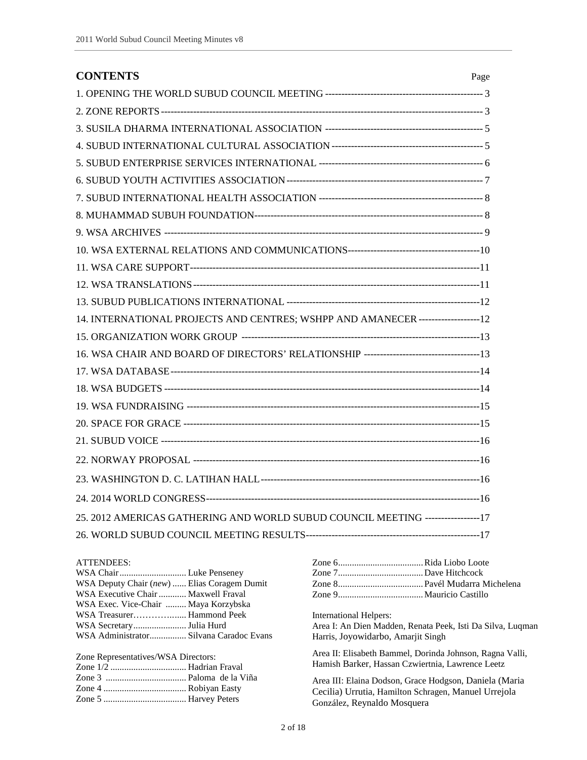| <b>CONTENTS</b>                                                                  | Page |
|----------------------------------------------------------------------------------|------|
|                                                                                  |      |
|                                                                                  |      |
|                                                                                  |      |
|                                                                                  |      |
|                                                                                  |      |
|                                                                                  |      |
|                                                                                  |      |
|                                                                                  |      |
|                                                                                  |      |
|                                                                                  |      |
|                                                                                  |      |
|                                                                                  |      |
|                                                                                  |      |
| 14. INTERNATIONAL PROJECTS AND CENTRES; WSHPP AND AMANECER -------------------12 |      |
|                                                                                  |      |
|                                                                                  |      |
|                                                                                  |      |
|                                                                                  |      |
|                                                                                  |      |
|                                                                                  |      |
|                                                                                  |      |
|                                                                                  |      |
|                                                                                  |      |
|                                                                                  |      |
| 25. 2012 AMERICAS GATHERING AND WORLD SUBUD COUNCIL MEETING ------------------17 |      |
|                                                                                  |      |

#### ATTENDEES:

| ATTENDEES:<br>WSA Deputy Chair (new)  Elias Coragem Dumit<br>WSA Executive Chair  Maxwell Fraval<br>WSA Exec. Vice-Chair  Maya Korzybska |                                                            |
|------------------------------------------------------------------------------------------------------------------------------------------|------------------------------------------------------------|
| WSA Treasurer Hammond Peek                                                                                                               | International Helpers:                                     |
|                                                                                                                                          | Area I: An Dien Madden, Renata Peek, Isti Da Silva, Luqman |
| WSA Administrator Silvana Caradoc Evans                                                                                                  | Harris, Joyowidarbo, Amarjit Singh                         |
| Zone Representatives/WSA Directors:                                                                                                      | Area II: Elisabeth Bammel, Dorinda Johnson, Ragna Valli,   |
|                                                                                                                                          | Hamish Barker, Hassan Czwiertnia, Lawrence Leetz           |
|                                                                                                                                          | Area III: Elaina Dodson, Grace Hodgson, Daniela (Maria     |
|                                                                                                                                          | Cecilia) Urrutia, Hamilton Schragen, Manuel Urrejola       |
|                                                                                                                                          | González, Reynaldo Mosquera                                |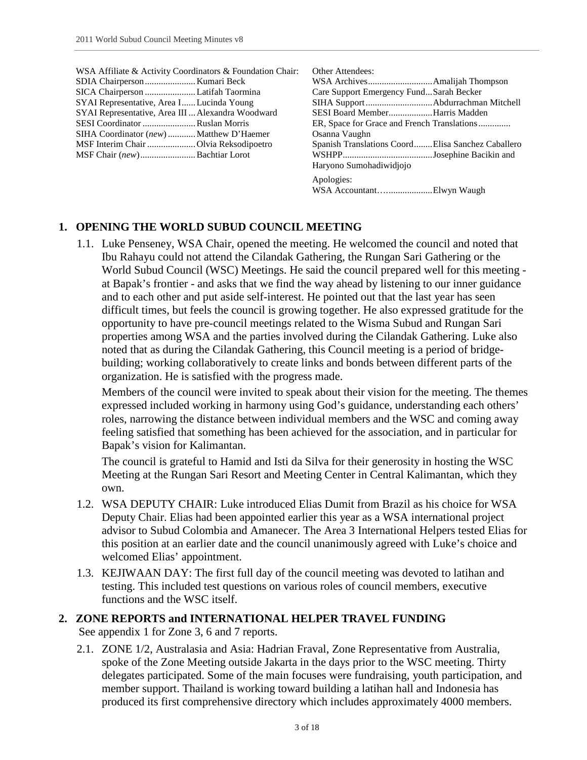| WSA Affiliate & Activity Coordinators & Foundation Chair:<br>SICA Chairperson  Latifah Taormina<br>SYAI Representative, Area I Lucinda Young<br>SYAI Representative, Area III  Alexandra Woodward<br>SESI Coordinator  Ruslan Morris<br>SIHA Coordinator (new) Matthew D'Haemer<br>MSF Chair <i>(new)</i> Bachtiar Lorot | <b>Other Attendees:</b><br>Care Support Emergency FundSarah Becker<br>SESI Board MemberHarris Madden<br>Osanna Vaughn<br>Spanish Translations Coord Elisa Sanchez Caballero<br>Haryono Sumohadiwidiojo |
|--------------------------------------------------------------------------------------------------------------------------------------------------------------------------------------------------------------------------------------------------------------------------------------------------------------------------|--------------------------------------------------------------------------------------------------------------------------------------------------------------------------------------------------------|
|                                                                                                                                                                                                                                                                                                                          | Apologies:                                                                                                                                                                                             |

#### **1. OPENING THE WORLD SUBUD COUNCIL MEETING**

1.1. Luke Penseney, WSA Chair, opened the meeting. He welcomed the council and noted that Ibu Rahayu could not attend the Cilandak Gathering, the Rungan Sari Gathering or the World Subud Council (WSC) Meetings. He said the council prepared well for this meeting at Bapak's frontier - and asks that we find the way ahead by listening to our inner guidance and to each other and put aside self-interest. He pointed out that the last year has seen difficult times, but feels the council is growing together. He also expressed gratitude for the opportunity to have pre-council meetings related to the Wisma Subud and Rungan Sari properties among WSA and the parties involved during the Cilandak Gathering. Luke also noted that as during the Cilandak Gathering, this Council meeting is a period of bridgebuilding; working collaboratively to create links and bonds between different parts of the organization. He is satisfied with the progress made.

Members of the council were invited to speak about their vision for the meeting. The themes expressed included working in harmony using God's guidance, understanding each others' roles, narrowing the distance between individual members and the WSC and coming away feeling satisfied that something has been achieved for the association, and in particular for Bapak's vision for Kalimantan.

The council is grateful to Hamid and Isti da Silva for their generosity in hosting the WSC Meeting at the Rungan Sari Resort and Meeting Center in Central Kalimantan, which they own.

- 1.2. WSA DEPUTY CHAIR: Luke introduced Elias Dumit from Brazil as his choice for WSA Deputy Chair. Elias had been appointed earlier this year as a WSA international project advisor to Subud Colombia and Amanecer. The Area 3 International Helpers tested Elias for this position at an earlier date and the council unanimously agreed with Luke's choice and welcomed Elias' appointment.
- 1.3. KEJIWAAN DAY: The first full day of the council meeting was devoted to latihan and testing. This included test questions on various roles of council members, executive functions and the WSC itself.

## **2. ZONE REPORTS and INTERNATIONAL HELPER TRAVEL FUNDING**

See appendix 1 for Zone 3, 6 and 7 reports.

2.1. ZONE 1/2, Australasia and Asia: Hadrian Fraval, Zone Representative from Australia, spoke of the Zone Meeting outside Jakarta in the days prior to the WSC meeting. Thirty delegates participated. Some of the main focuses were fundraising, youth participation, and member support. Thailand is working toward building a latihan hall and Indonesia has produced its first comprehensive directory which includes approximately 4000 members.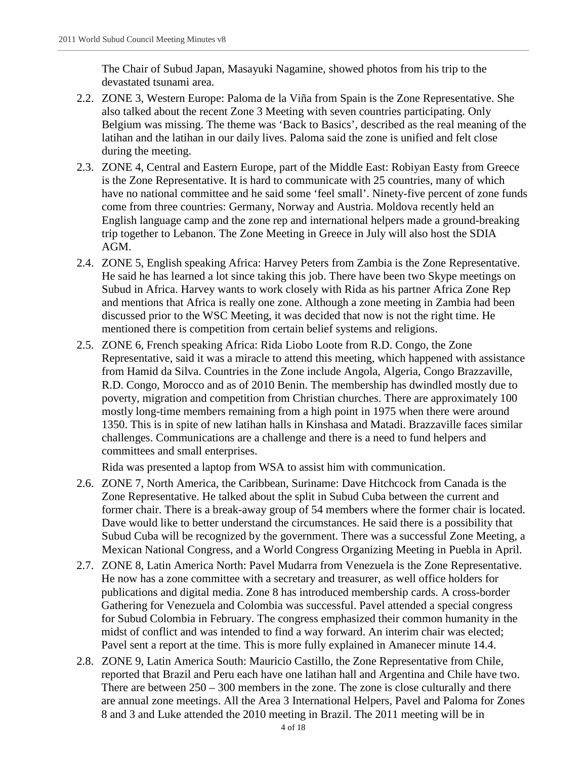The Chair of Subud Japan, Masayuki Nagamine, showed photos from his trip to the devastated tsunami area.

- 2.2. ZONE 3, Western Europe: Paloma de la Viña from Spain is the Zone Representative. She also talked about the recent Zone 3 Meeting with seven countries participating. Only Belgium was missing. The theme was 'Back to Basics', described as the real meaning of the latihan and the latihan in our daily lives. Paloma said the zone is unified and felt close during the meeting.
- 2.3. ZONE 4, Central and Eastern Europe, part of the Middle East: Robiyan Easty from Greece is the Zone Representative. It is hard to communicate with 25 countries, many of which have no national committee and he said some 'feel small'. Ninety-five percent of zone funds come from three countries: Germany, Norway and Austria. Moldova recently held an English language camp and the zone rep and international helpers made a ground-breaking trip together to Lebanon. The Zone Meeting in Greece in July will also host the SDIA AGM.
- 2.4. ZONE 5, English speaking Africa: Harvey Peters from Zambia is the Zone Representative. He said he has learned a lot since taking this job. There have been two Skype meetings on Subud in Africa. Harvey wants to work closely with Rida as his partner Africa Zone Rep and mentions that Africa is really one zone. Although a zone meeting in Zambia had been discussed prior to the WSC Meeting, it was decided that now is not the right time. He mentioned there is competition from certain belief systems and religions.
- 2.5. ZONE 6, French speaking Africa: Rida Liobo Loote from R.D. Congo, the Zone Representative, said it was a miracle to attend this meeting, which happened with assistance from Hamid da Silva. Countries in the Zone include Angola, Algeria, Congo Brazzaville, R.D. Congo, Morocco and as of 2010 Benin. The membership has dwindled mostly due to poverty, migration and competition from Christian churches. There are approximately 100 mostly long-time members remaining from a high point in 1975 when there were around 1350. This is in spite of new latihan halls in Kinshasa and Matadi. Brazzaville faces similar challenges. Communications are a challenge and there is a need to fund helpers and committees and small enterprises.

Rida was presented a laptop from WSA to assist him with communication.

- 2.6. ZONE 7, North America, the Caribbean, Suriname: Dave Hitchcock from Canada is the Zone Representative. He talked about the split in Subud Cuba between the current and former chair. There is a break-away group of 54 members where the former chair is located. Dave would like to better understand the circumstances. He said there is a possibility that Subud Cuba will be recognized by the government. There was a successful Zone Meeting, a Mexican National Congress, and a World Congress Organizing Meeting in Puebla in April.
- 2.7. ZONE 8, Latin America North: Pavel Mudarra from Venezuela is the Zone Representative. He now has a zone committee with a secretary and treasurer, as well office holders for publications and digital media. Zone 8 has introduced membership cards. A cross-border Gathering for Venezuela and Colombia was successful. Pavel attended a special congress for Subud Colombia in February. The congress emphasized their common humanity in the midst of conflict and was intended to find a way forward. An interim chair was elected; Pavel sent a report at the time. This is more fully explained in Amanecer minute 14.4.
- 2.8. ZONE 9, Latin America South: Mauricio Castillo, the Zone Representative from Chile, reported that Brazil and Peru each have one latihan hall and Argentina and Chile have two. There are between  $250 - 300$  members in the zone. The zone is close culturally and there are annual zone meetings. All the Area 3 International Helpers, Pavel and Paloma for Zones 8 and 3 and Luke attended the 2010 meeting in Brazil. The 2011 meeting will be in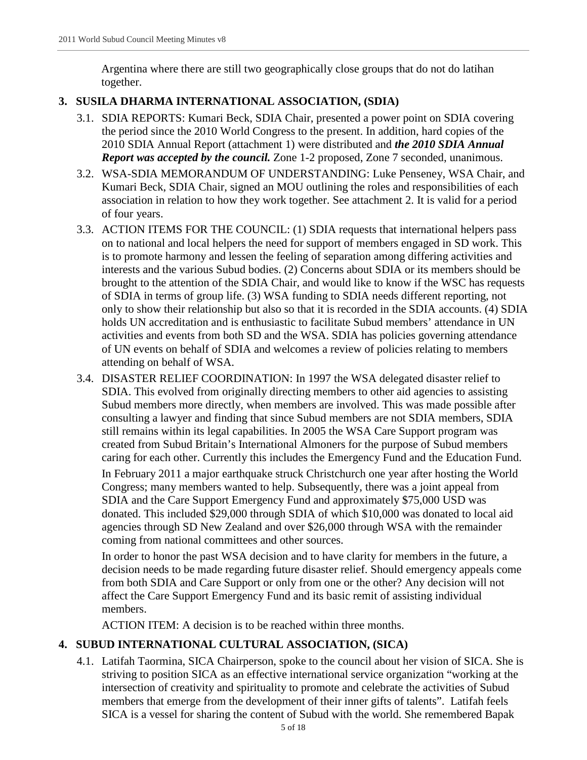Argentina where there are still two geographically close groups that do not do latihan together.

#### **3. SUSILA DHARMA INTERNATIONAL ASSOCIATION, (SDIA)**

- 3.1. SDIA REPORTS: Kumari Beck, SDIA Chair, presented a power point on SDIA covering the period since the 2010 World Congress to the present. In addition, hard copies of the 2010 SDIA Annual Report (attachment 1) were distributed and *the 2010 SDIA Annual Report was accepted by the council.* Zone 1-2 proposed, Zone 7 seconded, unanimous.
- 3.2. WSA-SDIA MEMORANDUM OF UNDERSTANDING: Luke Penseney, WSA Chair, and Kumari Beck, SDIA Chair, signed an MOU outlining the roles and responsibilities of each association in relation to how they work together. See attachment 2. It is valid for a period of four years.
- 3.3. ACTION ITEMS FOR THE COUNCIL: (1) SDIA requests that international helpers pass on to national and local helpers the need for support of members engaged in SD work. This is to promote harmony and lessen the feeling of separation among differing activities and interests and the various Subud bodies. (2) Concerns about SDIA or its members should be brought to the attention of the SDIA Chair, and would like to know if the WSC has requests of SDIA in terms of group life. (3) WSA funding to SDIA needs different reporting, not only to show their relationship but also so that it is recorded in the SDIA accounts. (4) SDIA holds UN accreditation and is enthusiastic to facilitate Subud members' attendance in UN activities and events from both SD and the WSA. SDIA has policies governing attendance of UN events on behalf of SDIA and welcomes a review of policies relating to members attending on behalf of WSA.
- 3.4. DISASTER RELIEF COORDINATION: In 1997 the WSA delegated disaster relief to SDIA. This evolved from originally directing members to other aid agencies to assisting Subud members more directly, when members are involved. This was made possible after consulting a lawyer and finding that since Subud members are not SDIA members, SDIA still remains within its legal capabilities. In 2005 the WSA Care Support program was created from Subud Britain's International Almoners for the purpose of Subud members caring for each other. Currently this includes the Emergency Fund and the Education Fund.

In February 2011 a major earthquake struck Christchurch one year after hosting the World Congress; many members wanted to help. Subsequently, there was a joint appeal from SDIA and the Care Support Emergency Fund and approximately \$75,000 USD was donated. This included \$29,000 through SDIA of which \$10,000 was donated to local aid agencies through SD New Zealand and over \$26,000 through WSA with the remainder coming from national committees and other sources.

In order to honor the past WSA decision and to have clarity for members in the future, a decision needs to be made regarding future disaster relief. Should emergency appeals come from both SDIA and Care Support or only from one or the other? Any decision will not affect the Care Support Emergency Fund and its basic remit of assisting individual members.

ACTION ITEM: A decision is to be reached within three months.

## **4. SUBUD INTERNATIONAL CULTURAL ASSOCIATION, (SICA)**

4.1. Latifah Taormina, SICA Chairperson, spoke to the council about her vision of SICA. She is striving to position SICA as an effective international service organization "working at the intersection of creativity and spirituality to promote and celebrate the activities of Subud members that emerge from the development of their inner gifts of talents". Latifah feels SICA is a vessel for sharing the content of Subud with the world. She remembered Bapak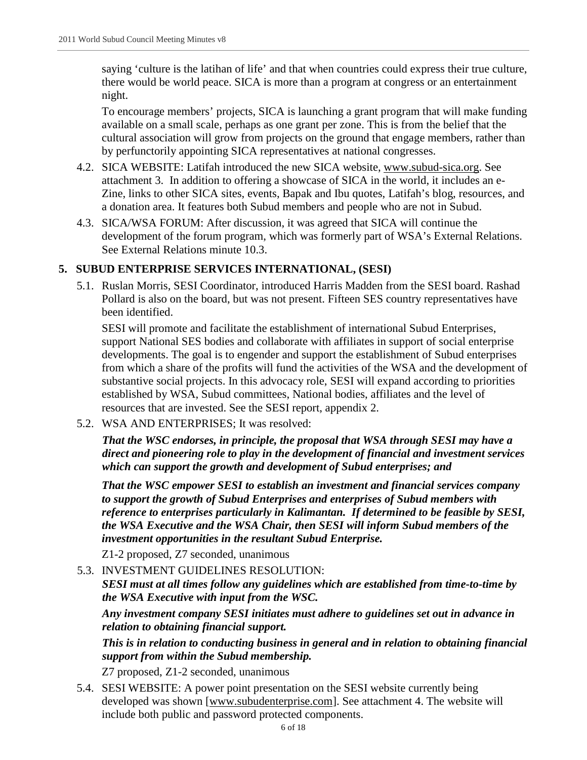saying 'culture is the latihan of life' and that when countries could express their true culture, there would be world peace. SICA is more than a program at congress or an entertainment night.

To encourage members' projects, SICA is launching a grant program that will make funding available on a small scale, perhaps as one grant per zone. This is from the belief that the cultural association will grow from projects on the ground that engage members, rather than by perfunctorily appointing SICA representatives at national congresses.

- 4.2. SICA WEBSITE: Latifah introduced the new SICA website, [www.subud-sica.org.](http://www.subud-sica.org/) See attachment 3. In addition to offering a showcase of SICA in the world, it includes an e-Zine, links to other SICA sites, events, Bapak and Ibu quotes, Latifah's blog, resources, and a donation area. It features both Subud members and people who are not in Subud.
- 4.3. SICA/WSA FORUM: After discussion, it was agreed that SICA will continue the development of the forum program, which was formerly part of WSA's External Relations. See External Relations minute 10.3.

#### **5. SUBUD ENTERPRISE SERVICES INTERNATIONAL, (SESI)**

5.1. Ruslan Morris, SESI Coordinator, introduced Harris Madden from the SESI board. Rashad Pollard is also on the board, but was not present. Fifteen SES country representatives have been identified.

SESI will promote and facilitate the establishment of international Subud Enterprises, support National SES bodies and collaborate with affiliates in support of social enterprise developments. The goal is to engender and support the establishment of Subud enterprises from which a share of the profits will fund the activities of the WSA and the development of substantive social projects. In this advocacy role, SESI will expand according to priorities established by WSA, Subud committees, National bodies, affiliates and the level of resources that are invested. See the SESI report, appendix 2.

5.2. WSA AND ENTERPRISES; It was resolved:

*That the WSC endorses, in principle, the proposal that WSA through SESI may have a direct and pioneering role to play in the development of financial and investment services which can support the growth and development of Subud enterprises; and*

*That the WSC empower SESI to establish an investment and financial services company to support the growth of Subud Enterprises and enterprises of Subud members with reference to enterprises particularly in Kalimantan. If determined to be feasible by SESI, the WSA Executive and the WSA Chair, then SESI will inform Subud members of the investment opportunities in the resultant Subud Enterprise.*

Z1-2 proposed, Z7 seconded, unanimous

5.3. INVESTMENT GUIDELINES RESOLUTION:

*SESI must at all times follow any guidelines which are established from time-to-time by the WSA Executive with input from the WSC.*

*Any investment company SESI initiates must adhere to guidelines set out in advance in relation to obtaining financial support.*

*This is in relation to conducting business in general and in relation to obtaining financial support from within the Subud membership.*

Z7 proposed, Z1-2 seconded, unanimous

5.4. SESI WEBSITE: A power point presentation on the SESI website currently being developed was shown [\[www.subudenterprise.com\]](http://www.subudenterprise.com/). See attachment 4. The website will include both public and password protected components.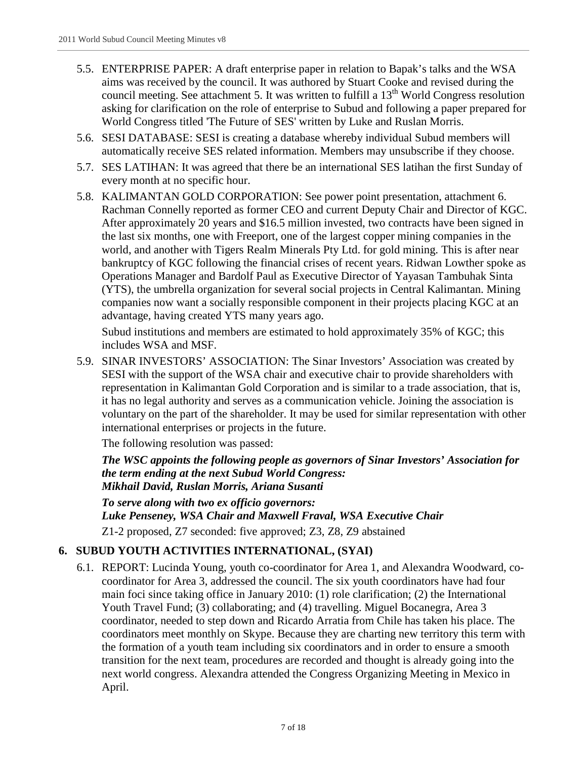- 5.5. ENTERPRISE PAPER: A draft enterprise paper in relation to Bapak's talks and the WSA aims was received by the council. It was authored by Stuart Cooke and revised during the council meeting. See attachment 5. It was written to fulfill a  $13<sup>th</sup>$  World Congress resolution asking for clarification on the role of enterprise to Subud and following a paper prepared for World Congress titled 'The Future of SES' written by Luke and Ruslan Morris.
- 5.6. SESI DATABASE: SESI is creating a database whereby individual Subud members will automatically receive SES related information. Members may unsubscribe if they choose.
- 5.7. SES LATIHAN: It was agreed that there be an international SES latihan the first Sunday of every month at no specific hour.
- 5.8. KALIMANTAN GOLD CORPORATION: See power point presentation, attachment 6. Rachman Connelly reported as former CEO and current Deputy Chair and Director of KGC. After approximately 20 years and \$16.5 million invested, two contracts have been signed in the last six months, one with Freeport, one of the largest copper mining companies in the world, and another with Tigers Realm Minerals Pty Ltd. for gold mining. This is after near bankruptcy of KGC following the financial crises of recent years. Ridwan Lowther spoke as Operations Manager and Bardolf Paul as Executive Director of Yayasan Tambuhak Sinta (YTS), the umbrella organization for several social projects in Central Kalimantan. Mining companies now want a socially responsible component in their projects placing KGC at an advantage, having created YTS many years ago.

Subud institutions and members are estimated to hold approximately 35% of KGC; this includes WSA and MSF.

5.9. SINAR INVESTORS' ASSOCIATION: The Sinar Investors' Association was created by SESI with the support of the WSA chair and executive chair to provide shareholders with representation in Kalimantan Gold Corporation and is similar to a trade association, that is, it has no legal authority and serves as a communication vehicle. Joining the association is voluntary on the part of the shareholder. It may be used for similar representation with other international enterprises or projects in the future.

The following resolution was passed:

*The WSC appoints the following people as governors of Sinar Investors' Association for the term ending at the next Subud World Congress: Mikhail David, Ruslan Morris, Ariana Susanti*

*To serve along with two ex officio governors: Luke Penseney, WSA Chair and Maxwell Fraval, WSA Executive Chair* Z1-2 proposed, Z7 seconded: five approved; Z3, Z8, Z9 abstained

## **6. SUBUD YOUTH ACTIVITIES INTERNATIONAL, (SYAI)**

6.1. REPORT: Lucinda Young, youth co-coordinator for Area 1, and Alexandra Woodward, cocoordinator for Area 3, addressed the council. The six youth coordinators have had four main foci since taking office in January 2010: (1) role clarification; (2) the International Youth Travel Fund; (3) collaborating; and (4) travelling. Miguel Bocanegra, Area 3 coordinator, needed to step down and Ricardo Arratia from Chile has taken his place. The coordinators meet monthly on Skype. Because they are charting new territory this term with the formation of a youth team including six coordinators and in order to ensure a smooth transition for the next team, procedures are recorded and thought is already going into the next world congress. Alexandra attended the Congress Organizing Meeting in Mexico in April.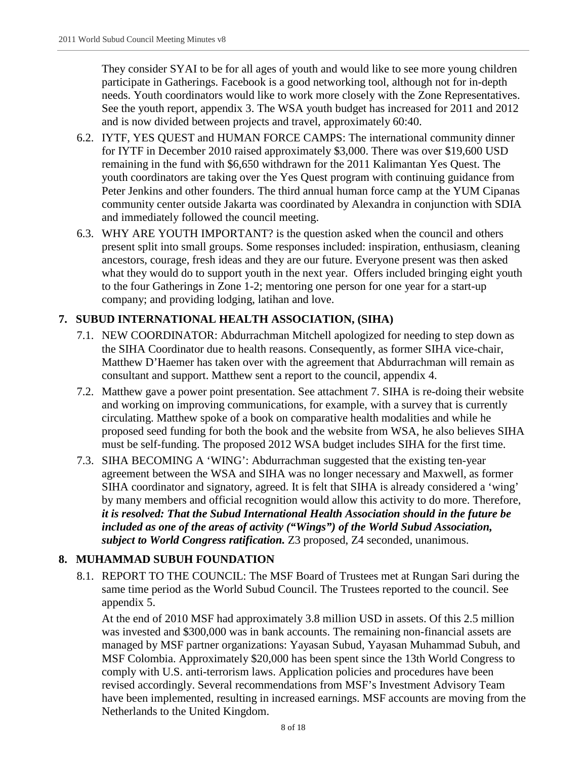They consider SYAI to be for all ages of youth and would like to see more young children participate in Gatherings. Facebook is a good networking tool, although not for in-depth needs. Youth coordinators would like to work more closely with the Zone Representatives. See the youth report, appendix 3. The WSA youth budget has increased for 2011 and 2012 and is now divided between projects and travel, approximately 60:40.

- 6.2. IYTF, YES QUEST and HUMAN FORCE CAMPS: The international community dinner for IYTF in December 2010 raised approximately \$3,000. There was over \$19,600 USD remaining in the fund with \$6,650 withdrawn for the 2011 Kalimantan Yes Quest. The youth coordinators are taking over the Yes Quest program with continuing guidance from Peter Jenkins and other founders. The third annual human force camp at the YUM Cipanas community center outside Jakarta was coordinated by Alexandra in conjunction with SDIA and immediately followed the council meeting.
- 6.3. WHY ARE YOUTH IMPORTANT? is the question asked when the council and others present split into small groups. Some responses included: inspiration, enthusiasm, cleaning ancestors, courage, fresh ideas and they are our future. Everyone present was then asked what they would do to support youth in the next year. Offers included bringing eight youth to the four Gatherings in Zone 1-2; mentoring one person for one year for a start-up company; and providing lodging, latihan and love.

## **7. SUBUD INTERNATIONAL HEALTH ASSOCIATION, (SIHA)**

- 7.1. NEW COORDINATOR: Abdurrachman Mitchell apologized for needing to step down as the SIHA Coordinator due to health reasons. Consequently, as former SIHA vice-chair, Matthew D'Haemer has taken over with the agreement that Abdurrachman will remain as consultant and support. Matthew sent a report to the council, appendix 4.
- 7.2. Matthew gave a power point presentation. See attachment 7. SIHA is re-doing their website and working on improving communications, for example, with a survey that is currently circulating. Matthew spoke of a book on comparative health modalities and while he proposed seed funding for both the book and the website from WSA, he also believes SIHA must be self-funding. The proposed 2012 WSA budget includes SIHA for the first time.
- 7.3. SIHA BECOMING A 'WING': Abdurrachman suggested that the existing ten-year agreement between the WSA and SIHA was no longer necessary and Maxwell, as former SIHA coordinator and signatory, agreed. It is felt that SIHA is already considered a 'wing' by many members and official recognition would allow this activity to do more. Therefore, *it is resolved: That the Subud International Health Association should in the future be included as one of the areas of activity ("Wings") of the World Subud Association, subject to World Congress ratification.* Z3 proposed, Z4 seconded, unanimous.

#### **8. MUHAMMAD SUBUH FOUNDATION**

8.1. REPORT TO THE COUNCIL: The MSF Board of Trustees met at Rungan Sari during the same time period as the World Subud Council. The Trustees reported to the council. See appendix 5.

At the end of 2010 MSF had approximately 3.8 million USD in assets. Of this 2.5 million was invested and \$300,000 was in bank accounts. The remaining non-financial assets are managed by MSF partner organizations: Yayasan Subud, Yayasan Muhammad Subuh, and MSF Colombia. Approximately \$20,000 has been spent since the 13th World Congress to comply with U.S. anti-terrorism laws. Application policies and procedures have been revised accordingly. Several recommendations from MSF's Investment Advisory Team have been implemented, resulting in increased earnings. MSF accounts are moving from the Netherlands to the United Kingdom.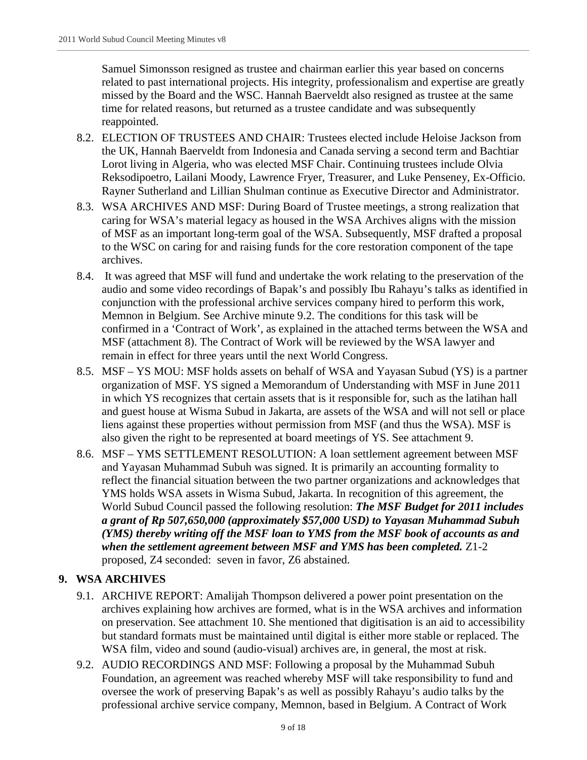Samuel Simonsson resigned as trustee and chairman earlier this year based on concerns related to past international projects. His integrity, professionalism and expertise are greatly missed by the Board and the WSC. Hannah Baerveldt also resigned as trustee at the same time for related reasons, but returned as a trustee candidate and was subsequently reappointed.

- 8.2. ELECTION OF TRUSTEES AND CHAIR: Trustees elected include Heloise Jackson from the UK, Hannah Baerveldt from Indonesia and Canada serving a second term and Bachtiar Lorot living in Algeria, who was elected MSF Chair. Continuing trustees include Olvia Reksodipoetro, Lailani Moody, Lawrence Fryer, Treasurer, and Luke Penseney, Ex-Officio. Rayner Sutherland and Lillian Shulman continue as Executive Director and Administrator.
- 8.3. WSA ARCHIVES AND MSF: During Board of Trustee meetings, a strong realization that caring for WSA's material legacy as housed in the WSA Archives aligns with the mission of MSF as an important long-term goal of the WSA. Subsequently, MSF drafted a proposal to the WSC on caring for and raising funds for the core restoration component of the tape archives.
- 8.4. It was agreed that MSF will fund and undertake the work relating to the preservation of the audio and some video recordings of Bapak's and possibly Ibu Rahayu's talks as identified in conjunction with the professional archive services company hired to perform this work, Memnon in Belgium. See Archive minute 9.2. The conditions for this task will be confirmed in a 'Contract of Work', as explained in the attached terms between the WSA and MSF (attachment 8). The Contract of Work will be reviewed by the WSA lawyer and remain in effect for three years until the next World Congress.
- 8.5. MSF YS MOU: MSF holds assets on behalf of WSA and Yayasan Subud (YS) is a partner organization of MSF. YS signed a Memorandum of Understanding with MSF in June 2011 in which YS recognizes that certain assets that is it responsible for, such as the latihan hall and guest house at Wisma Subud in Jakarta, are assets of the WSA and will not sell or place liens against these properties without permission from MSF (and thus the WSA). MSF is also given the right to be represented at board meetings of YS. See attachment 9.
- 8.6. MSF YMS SETTLEMENT RESOLUTION: A loan settlement agreement between MSF and Yayasan Muhammad Subuh was signed. It is primarily an accounting formality to reflect the financial situation between the two partner organizations and acknowledges that YMS holds WSA assets in Wisma Subud, Jakarta. In recognition of this agreement, the World Subud Council passed the following resolution: *The MSF Budget for 2011 includes a grant of Rp 507,650,000 (approximately \$57,000 USD) to Yayasan Muhammad Subuh (YMS) thereby writing off the MSF loan to YMS from the MSF book of accounts as and when the settlement agreement between MSF and YMS has been completed.* Z1-2 proposed, Z4 seconded: seven in favor, Z6 abstained.

## **9. WSA ARCHIVES**

- 9.1. ARCHIVE REPORT: Amalijah Thompson delivered a power point presentation on the archives explaining how archives are formed, what is in the WSA archives and information on preservation. See attachment 10. She mentioned that digitisation is an aid to accessibility but standard formats must be maintained until digital is either more stable or replaced. The WSA film, video and sound (audio-visual) archives are, in general, the most at risk.
- 9.2. AUDIO RECORDINGS AND MSF: Following a proposal by the Muhammad Subuh Foundation, an agreement was reached whereby MSF will take responsibility to fund and oversee the work of preserving Bapak's as well as possibly Rahayu's audio talks by the professional archive service company, Memnon, based in Belgium. A Contract of Work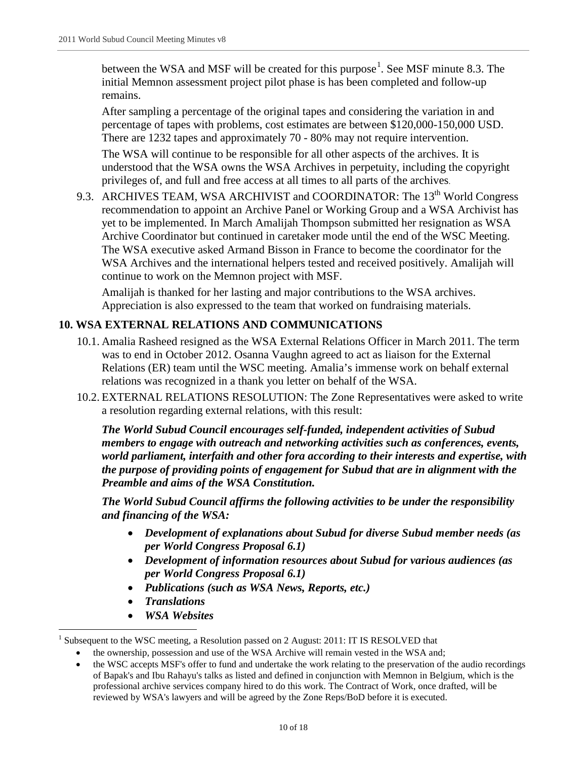between the WSA and MSF will be created for this purpose<sup>[1](#page-9-0)</sup>. See MSF minute 8.3. The initial Memnon assessment project pilot phase is has been completed and follow-up remains.

After sampling a percentage of the original tapes and considering the variation in and percentage of tapes with problems, cost estimates are between \$120,000-150,000 USD. There are 1232 tapes and approximately 70 - 80% may not require intervention.

The WSA will continue to be responsible for all other aspects of the archives. It is understood that the WSA owns the WSA Archives in perpetuity, including the copyright privileges of, and full and free access at all times to all parts of the archives.

9.3. ARCHIVES TEAM, WSA ARCHIVIST and COORDINATOR: The 13<sup>th</sup> World Congress recommendation to appoint an Archive Panel or Working Group and a WSA Archivist has yet to be implemented. In March Amalijah Thompson submitted her resignation as WSA Archive Coordinator but continued in caretaker mode until the end of the WSC Meeting. The WSA executive asked Armand Bisson in France to become the coordinator for the WSA Archives and the international helpers tested and received positively. Amalijah will continue to work on the Memnon project with MSF.

Amalijah is thanked for her lasting and major contributions to the WSA archives. Appreciation is also expressed to the team that worked on fundraising materials.

## **10. WSA EXTERNAL RELATIONS AND COMMUNICATIONS**

- 10.1. Amalia Rasheed resigned as the WSA External Relations Officer in March 2011. The term was to end in October 2012. Osanna Vaughn agreed to act as liaison for the External Relations (ER) team until the WSC meeting. Amalia's immense work on behalf external relations was recognized in a thank you letter on behalf of the WSA.
- 10.2. EXTERNAL RELATIONS RESOLUTION: The Zone Representatives were asked to write a resolution regarding external relations, with this result:

*The World Subud Council encourages self-funded, independent activities of Subud members to engage with outreach and networking activities such as conferences, events, world parliament, interfaith and other fora according to their interests and expertise, with the purpose of providing points of engagement for Subud that are in alignment with the Preamble and aims of the WSA Constitution.*

*The World Subud Council affirms the following activities to be under the responsibility and financing of the WSA:*

- *Development of explanations about Subud for diverse Subud member needs (as per World Congress Proposal 6.1)*
- *Development of information resources about Subud for various audiences (as per World Congress Proposal 6.1)*
- *Publications (such as WSA News, Reports, etc.)*
- *Translations*
- *WSA Websites*

<span id="page-9-0"></span><sup>&</sup>lt;sup>1</sup> Subsequent to the WSC meeting, a Resolution passed on 2 August: 2011: IT IS RESOLVED that

the ownership, possession and use of the WSA Archive will remain vested in the WSA and;

<sup>•</sup> the WSC accepts MSF's offer to fund and undertake the work relating to the preservation of the audio recordings of Bapak's and Ibu Rahayu's talks as listed and defined in conjunction with Memnon in Belgium, which is the professional archive services company hired to do this work. The Contract of Work, once drafted, will be reviewed by WSA's lawyers and will be agreed by the Zone Reps/BoD before it is executed.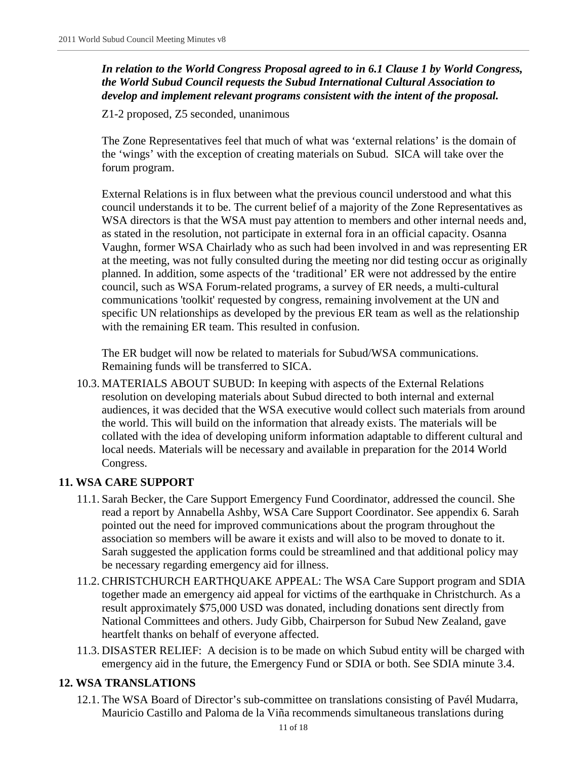*In relation to the World Congress Proposal agreed to in 6.1 Clause 1 by World Congress, the World Subud Council requests the Subud International Cultural Association to develop and implement relevant programs consistent with the intent of the proposal.*

Z1-2 proposed, Z5 seconded, unanimous

The Zone Representatives feel that much of what was 'external relations' is the domain of the 'wings' with the exception of creating materials on Subud. SICA will take over the forum program.

External Relations is in flux between what the previous council understood and what this council understands it to be. The current belief of a majority of the Zone Representatives as WSA directors is that the WSA must pay attention to members and other internal needs and, as stated in the resolution, not participate in external fora in an official capacity. Osanna Vaughn, former WSA Chairlady who as such had been involved in and was representing ER at the meeting, was not fully consulted during the meeting nor did testing occur as originally planned. In addition, some aspects of the 'traditional' ER were not addressed by the entire council, such as WSA Forum-related programs, a survey of ER needs, a multi-cultural communications 'toolkit' requested by congress, remaining involvement at the UN and specific UN relationships as developed by the previous ER team as well as the relationship with the remaining ER team. This resulted in confusion.

The ER budget will now be related to materials for Subud/WSA communications. Remaining funds will be transferred to SICA.

10.3. MATERIALS ABOUT SUBUD: In keeping with aspects of the External Relations resolution on developing materials about Subud directed to both internal and external audiences, it was decided that the WSA executive would collect such materials from around the world. This will build on the information that already exists. The materials will be collated with the idea of developing uniform information adaptable to different cultural and local needs. Materials will be necessary and available in preparation for the 2014 World Congress.

#### **11. WSA CARE SUPPORT**

- 11.1. Sarah Becker, the Care Support Emergency Fund Coordinator, addressed the council. She read a report by Annabella Ashby, WSA Care Support Coordinator. See appendix 6. Sarah pointed out the need for improved communications about the program throughout the association so members will be aware it exists and will also to be moved to donate to it. Sarah suggested the application forms could be streamlined and that additional policy may be necessary regarding emergency aid for illness.
- 11.2. CHRISTCHURCH EARTHQUAKE APPEAL: The WSA Care Support program and SDIA together made an emergency aid appeal for victims of the earthquake in Christchurch. As a result approximately \$75,000 USD was donated, including donations sent directly from National Committees and others. Judy Gibb, Chairperson for Subud New Zealand, gave heartfelt thanks on behalf of everyone affected.
- 11.3. DISASTER RELIEF: A decision is to be made on which Subud entity will be charged with emergency aid in the future, the Emergency Fund or SDIA or both. See SDIA minute 3.4.

#### **12. WSA TRANSLATIONS**

12.1. The WSA Board of Director's sub-committee on translations consisting of Pavél Mudarra, Mauricio Castillo and Paloma de la Viña recommends simultaneous translations during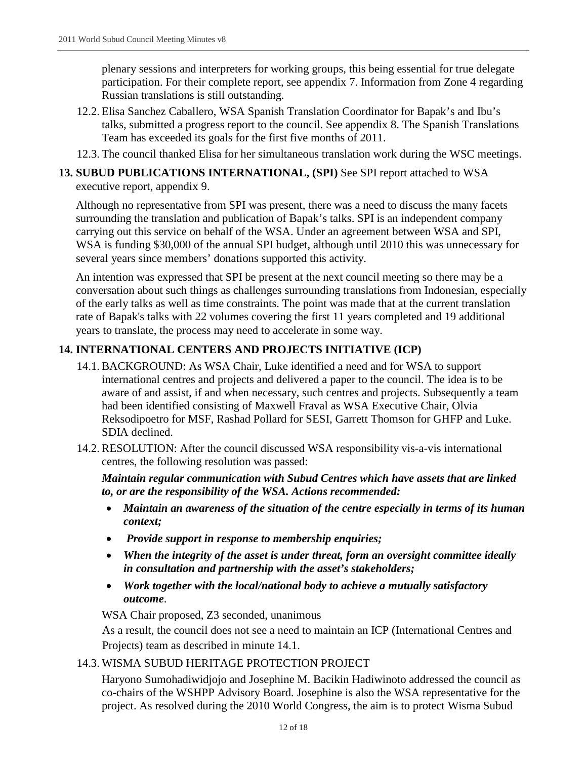plenary sessions and interpreters for working groups, this being essential for true delegate participation. For their complete report, see appendix 7. Information from Zone 4 regarding Russian translations is still outstanding.

- 12.2. Elisa Sanchez Caballero, WSA Spanish Translation Coordinator for Bapak's and Ibu's talks, submitted a progress report to the council. See appendix 8. The Spanish Translations Team has exceeded its goals for the first five months of 2011.
- 12.3. The council thanked Elisa for her simultaneous translation work during the WSC meetings.

#### **13. SUBUD PUBLICATIONS INTERNATIONAL, (SPI)** See SPI report attached to WSA executive report, appendix 9.

Although no representative from SPI was present, there was a need to discuss the many facets surrounding the translation and publication of Bapak's talks. SPI is an independent company carrying out this service on behalf of the WSA. Under an agreement between WSA and SPI, WSA is funding \$30,000 of the annual SPI budget, although until 2010 this was unnecessary for several years since members' donations supported this activity.

An intention was expressed that SPI be present at the next council meeting so there may be a conversation about such things as challenges surrounding translations from Indonesian, especially of the early talks as well as time constraints. The point was made that at the current translation rate of Bapak's talks with 22 volumes covering the first 11 years completed and 19 additional years to translate, the process may need to accelerate in some way.

## **14. INTERNATIONAL CENTERS AND PROJECTS INITIATIVE (ICP)**

- 14.1. BACKGROUND: As WSA Chair, Luke identified a need and for WSA to support international centres and projects and delivered a paper to the council. The idea is to be aware of and assist, if and when necessary, such centres and projects. Subsequently a team had been identified consisting of Maxwell Fraval as WSA Executive Chair, Olvia Reksodipoetro for MSF, Rashad Pollard for SESI, Garrett Thomson for GHFP and Luke. SDIA declined.
- 14.2. RESOLUTION: After the council discussed WSA responsibility vis-a-vis international centres, the following resolution was passed:

*Maintain regular communication with Subud Centres which have assets that are linked to, or are the responsibility of the WSA. Actions recommended:*

- *Maintain an awareness of the situation of the centre especially in terms of its human context;*
- *Provide support in response to membership enquiries;*
- *When the integrity of the asset is under threat, form an oversight committee ideally in consultation and partnership with the asset's stakeholders;*
- *Work together with the local/national body to achieve a mutually satisfactory outcome*.

WSA Chair proposed, Z3 seconded, unanimous

As a result, the council does not see a need to maintain an ICP (International Centres and Projects) team as described in minute 14.1.

#### 14.3. WISMA SUBUD HERITAGE PROTECTION PROJECT

Haryono Sumohadiwidjojo and Josephine M. Bacikin Hadiwinoto addressed the council as co-chairs of the WSHPP Advisory Board. Josephine is also the WSA representative for the project. As resolved during the 2010 World Congress, the aim is to protect Wisma Subud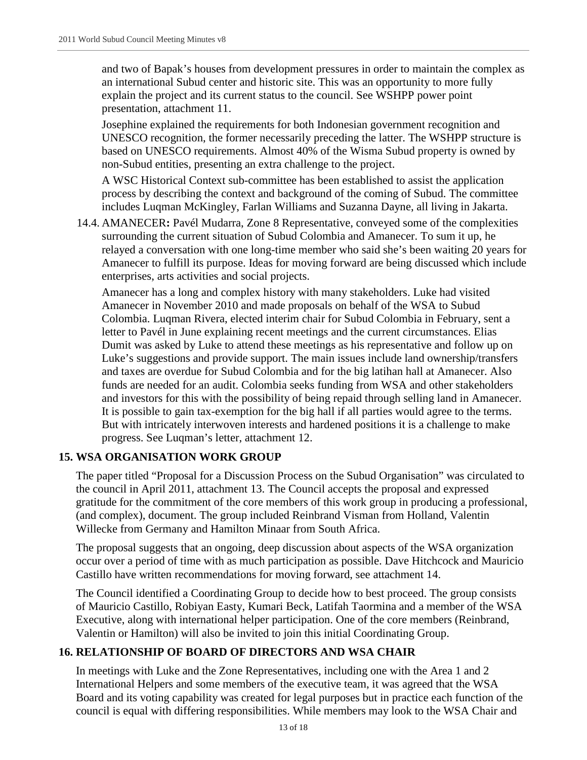and two of Bapak's houses from development pressures in order to maintain the complex as an international Subud center and historic site. This was an opportunity to more fully explain the project and its current status to the council. See WSHPP power point presentation, attachment 11.

Josephine explained the requirements for both Indonesian government recognition and UNESCO recognition, the former necessarily preceding the latter. The WSHPP structure is based on UNESCO requirements. Almost 40% of the Wisma Subud property is owned by non-Subud entities, presenting an extra challenge to the project.

A WSC Historical Context sub-committee has been established to assist the application process by describing the context and background of the coming of Subud. The committee includes Luqman McKingley, Farlan Williams and Suzanna Dayne, all living in Jakarta.

14.4. AMANECER**:** Pavél Mudarra, Zone 8 Representative, conveyed some of the complexities surrounding the current situation of Subud Colombia and Amanecer. To sum it up, he relayed a conversation with one long-time member who said she's been waiting 20 years for Amanecer to fulfill its purpose. Ideas for moving forward are being discussed which include enterprises, arts activities and social projects.

Amanecer has a long and complex history with many stakeholders. Luke had visited Amanecer in November 2010 and made proposals on behalf of the WSA to Subud Colombia. Luqman Rivera, elected interim chair for Subud Colombia in February, sent a letter to Pavél in June explaining recent meetings and the current circumstances. Elias Dumit was asked by Luke to attend these meetings as his representative and follow up on Luke's suggestions and provide support. The main issues include land ownership/transfers and taxes are overdue for Subud Colombia and for the big latihan hall at Amanecer. Also funds are needed for an audit. Colombia seeks funding from WSA and other stakeholders and investors for this with the possibility of being repaid through selling land in Amanecer. It is possible to gain tax-exemption for the big hall if all parties would agree to the terms. But with intricately interwoven interests and hardened positions it is a challenge to make progress. See Luqman's letter, attachment 12.

#### **15. WSA ORGANISATION WORK GROUP**

The paper titled "Proposal for a Discussion Process on the Subud Organisation" was circulated to the council in April 2011, attachment 13. The Council accepts the proposal and expressed gratitude for the commitment of the core members of this work group in producing a professional, (and complex), document. The group included Reinbrand Visman from Holland, Valentin Willecke from Germany and Hamilton Minaar from South Africa.

The proposal suggests that an ongoing, deep discussion about aspects of the WSA organization occur over a period of time with as much participation as possible. Dave Hitchcock and Mauricio Castillo have written recommendations for moving forward, see attachment 14.

The Council identified a Coordinating Group to decide how to best proceed. The group consists of Mauricio Castillo, Robiyan Easty, Kumari Beck, Latifah Taormina and a member of the WSA Executive, along with international helper participation. One of the core members (Reinbrand, Valentin or Hamilton) will also be invited to join this initial Coordinating Group.

#### **16. RELATIONSHIP OF BOARD OF DIRECTORS AND WSA CHAIR**

In meetings with Luke and the Zone Representatives, including one with the Area 1 and 2 International Helpers and some members of the executive team, it was agreed that the WSA Board and its voting capability was created for legal purposes but in practice each function of the council is equal with differing responsibilities. While members may look to the WSA Chair and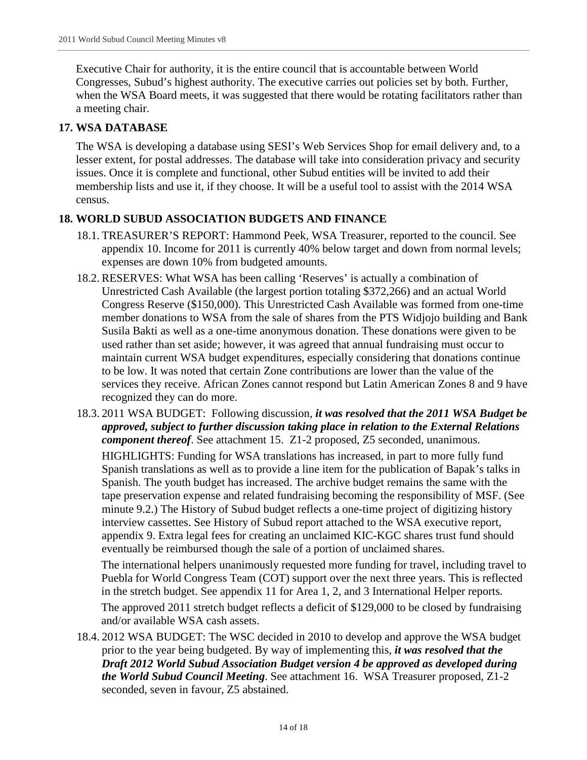Executive Chair for authority, it is the entire council that is accountable between World Congresses, Subud's highest authority. The executive carries out policies set by both. Further, when the WSA Board meets, it was suggested that there would be rotating facilitators rather than a meeting chair.

## **17. WSA DATABASE**

The WSA is developing a database using SESI's Web Services Shop for email delivery and, to a lesser extent, for postal addresses. The database will take into consideration privacy and security issues. Once it is complete and functional, other Subud entities will be invited to add their membership lists and use it, if they choose. It will be a useful tool to assist with the 2014 WSA census.

## **18. WORLD SUBUD ASSOCIATION BUDGETS AND FINANCE**

- 18.1. TREASURER'S REPORT: Hammond Peek, WSA Treasurer, reported to the council. See appendix 10. Income for 2011 is currently 40% below target and down from normal levels; expenses are down 10% from budgeted amounts.
- 18.2. RESERVES: What WSA has been calling 'Reserves' is actually a combination of Unrestricted Cash Available (the largest portion totaling \$372,266) and an actual World Congress Reserve (\$150,000). This Unrestricted Cash Available was formed from one-time member donations to WSA from the sale of shares from the PTS Widjojo building and Bank Susila Bakti as well as a one-time anonymous donation. These donations were given to be used rather than set aside; however, it was agreed that annual fundraising must occur to maintain current WSA budget expenditures, especially considering that donations continue to be low. It was noted that certain Zone contributions are lower than the value of the services they receive. African Zones cannot respond but Latin American Zones 8 and 9 have recognized they can do more.
- 18.3. 2011 WSA BUDGET: Following discussion, *it was resolved that the 2011 WSA Budget be approved, subject to further discussion taking place in relation to the External Relations component thereof*. See attachment 15. Z1-2 proposed, Z5 seconded, unanimous.

HIGHLIGHTS: Funding for WSA translations has increased, in part to more fully fund Spanish translations as well as to provide a line item for the publication of Bapak's talks in Spanish. The youth budget has increased. The archive budget remains the same with the tape preservation expense and related fundraising becoming the responsibility of MSF. (See minute 9.2.) The History of Subud budget reflects a one-time project of digitizing history interview cassettes. See History of Subud report attached to the WSA executive report, appendix 9. Extra legal fees for creating an unclaimed KIC-KGC shares trust fund should eventually be reimbursed though the sale of a portion of unclaimed shares.

The international helpers unanimously requested more funding for travel, including travel to Puebla for World Congress Team (COT) support over the next three years. This is reflected in the stretch budget. See appendix 11 for Area 1, 2, and 3 International Helper reports. The approved 2011 stretch budget reflects a deficit of \$129,000 to be closed by fundraising and/or available WSA cash assets.

18.4. 2012 WSA BUDGET: The WSC decided in 2010 to develop and approve the WSA budget prior to the year being budgeted. By way of implementing this, *it was resolved that the Draft 2012 World Subud Association Budget version 4 be approved as developed during the World Subud Council Meeting*. See attachment 16. WSA Treasurer proposed, Z1-2 seconded, seven in favour, Z5 abstained.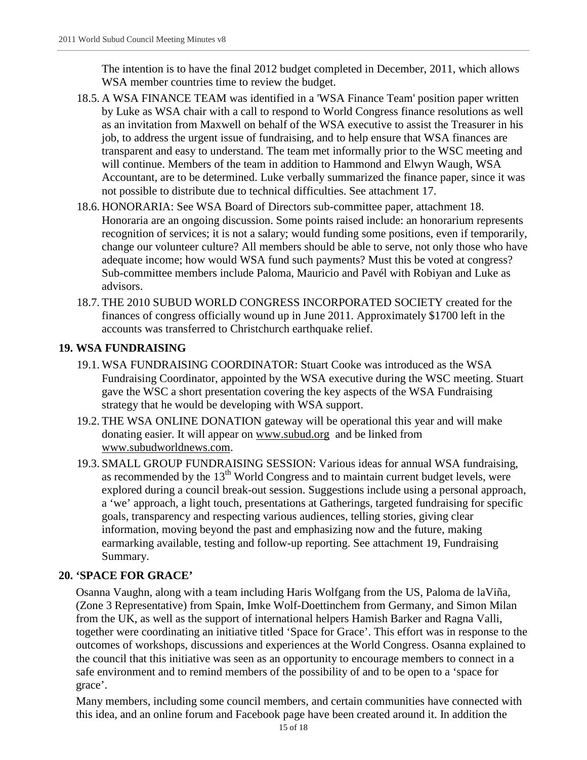The intention is to have the final 2012 budget completed in December, 2011, which allows WSA member countries time to review the budget.

- 18.5. A WSA FINANCE TEAM was identified in a 'WSA Finance Team' position paper written by Luke as WSA chair with a call to respond to World Congress finance resolutions as well as an invitation from Maxwell on behalf of the WSA executive to assist the Treasurer in his job, to address the urgent issue of fundraising, and to help ensure that WSA finances are transparent and easy to understand. The team met informally prior to the WSC meeting and will continue. Members of the team in addition to Hammond and Elwyn Waugh, WSA Accountant, are to be determined. Luke verbally summarized the finance paper, since it was not possible to distribute due to technical difficulties. See attachment 17.
- 18.6. HONORARIA: See WSA Board of Directors sub-committee paper, attachment 18. Honoraria are an ongoing discussion. Some points raised include: an honorarium represents recognition of services; it is not a salary; would funding some positions, even if temporarily, change our volunteer culture? All members should be able to serve, not only those who have adequate income; how would WSA fund such payments? Must this be voted at congress? Sub-committee members include Paloma, Mauricio and Pavél with Robiyan and Luke as advisors.
- 18.7. THE 2010 SUBUD WORLD CONGRESS INCORPORATED SOCIETY created for the finances of congress officially wound up in June 2011. Approximately \$1700 left in the accounts was transferred to Christchurch earthquake relief.

## **19. WSA FUNDRAISING**

- 19.1. WSA FUNDRAISING COORDINATOR: Stuart Cooke was introduced as the WSA Fundraising Coordinator, appointed by the WSA executive during the WSC meeting. Stuart gave the WSC a short presentation covering the key aspects of the WSA Fundraising strategy that he would be developing with WSA support.
- 19.2. THE WSA ONLINE DONATION gateway will be operational this year and will make donating easier. It will appear on [www.subud.org](http://www.subud.org/) and be linked from [www.subudworldnews.com.](http://www.subudworldnews.com/)
- 19.3. SMALL GROUP FUNDRAISING SESSION: Various ideas for annual WSA fundraising, as recommended by the  $13<sup>th</sup>$  World Congress and to maintain current budget levels, were explored during a council break-out session. Suggestions include using a personal approach, a 'we' approach, a light touch, presentations at Gatherings, targeted fundraising for specific goals, transparency and respecting various audiences, telling stories, giving clear information, moving beyond the past and emphasizing now and the future, making earmarking available, testing and follow-up reporting. See attachment 19, Fundraising Summary.

#### **20. 'SPACE FOR GRACE'**

Osanna Vaughn, along with a team including Haris Wolfgang from the US, Paloma de laViña, (Zone 3 Representative) from Spain, Imke Wolf-Doettinchem from Germany, and Simon Milan from the UK, as well as the support of international helpers Hamish Barker and Ragna Valli, together were coordinating an initiative titled 'Space for Grace'. This effort was in response to the outcomes of workshops, discussions and experiences at the World Congress. Osanna explained to the council that this initiative was seen as an opportunity to encourage members to connect in a safe environment and to remind members of the possibility of and to be open to a 'space for grace'.

Many members, including some council members, and certain communities have connected with this idea, and an online forum and Facebook page have been created around it. In addition the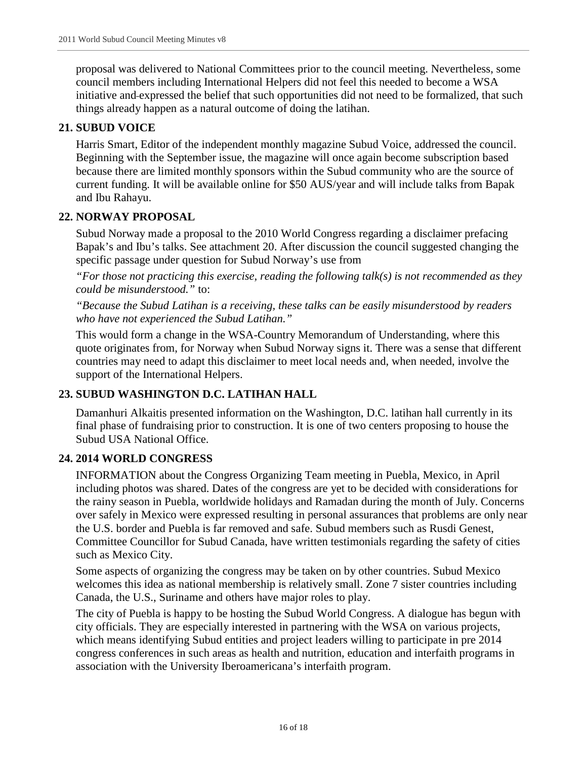proposal was delivered to National Committees prior to the council meeting. Nevertheless, some council members including International Helpers did not feel this needed to become a WSA initiative and expressed the belief that such opportunities did not need to be formalized, that such things already happen as a natural outcome of doing the latihan.

## **21. SUBUD VOICE**

Harris Smart, Editor of the independent monthly magazine Subud Voice, addressed the council. Beginning with the September issue, the magazine will once again become subscription based because there are limited monthly sponsors within the Subud community who are the source of current funding. It will be available online for \$50 AUS/year and will include talks from Bapak and Ibu Rahayu.

#### **22. NORWAY PROPOSAL**

Subud Norway made a proposal to the 2010 World Congress regarding a disclaimer prefacing Bapak's and Ibu's talks. See attachment 20. After discussion the council suggested changing the specific passage under question for Subud Norway's use from

*"For those not practicing this exercise, reading the following talk(s) is not recommended as they could be misunderstood."* to:

*"Because the Subud Latihan is a receiving, these talks can be easily misunderstood by readers who have not experienced the Subud Latihan."*

This would form a change in the WSA-Country Memorandum of Understanding, where this quote originates from, for Norway when Subud Norway signs it. There was a sense that different countries may need to adapt this disclaimer to meet local needs and, when needed, involve the support of the International Helpers.

#### **23. SUBUD WASHINGTON D.C. LATIHAN HALL**

Damanhuri Alkaitis presented information on the Washington, D.C. latihan hall currently in its final phase of fundraising prior to construction. It is one of two centers proposing to house the Subud USA National Office.

#### **24. 2014 WORLD CONGRESS**

INFORMATION about the Congress Organizing Team meeting in Puebla, Mexico, in April including photos was shared. Dates of the congress are yet to be decided with considerations for the rainy season in Puebla, worldwide holidays and Ramadan during the month of July. Concerns over safely in Mexico were expressed resulting in personal assurances that problems are only near the U.S. border and Puebla is far removed and safe. Subud members such as Rusdi Genest, Committee Councillor for Subud Canada, have written testimonials regarding the safety of cities such as Mexico City.

Some aspects of organizing the congress may be taken on by other countries. Subud Mexico welcomes this idea as national membership is relatively small. Zone 7 sister countries including Canada, the U.S., Suriname and others have major roles to play.

The city of Puebla is happy to be hosting the Subud World Congress. A dialogue has begun with city officials. They are especially interested in partnering with the WSA on various projects, which means identifying Subud entities and project leaders willing to participate in pre 2014 congress conferences in such areas as health and nutrition, education and interfaith programs in association with the University Iberoamericana's interfaith program.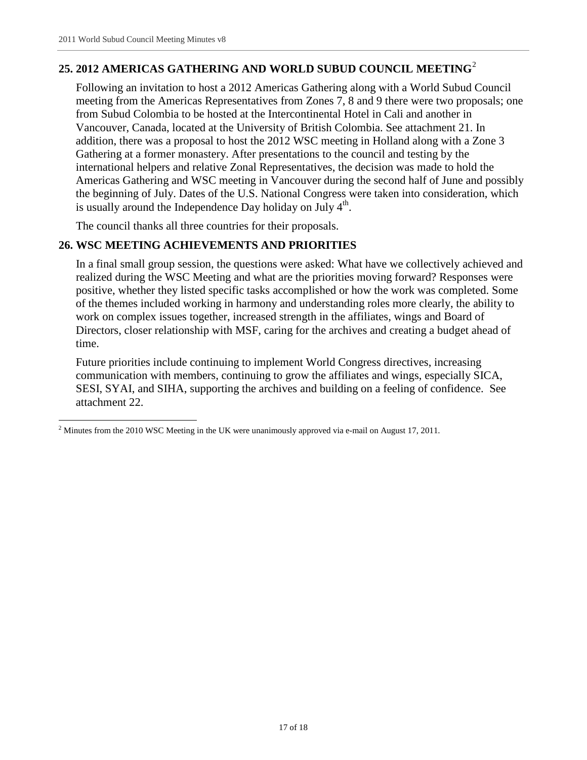## **25. 2012 AMERICAS GATHERING AND WORLD SUBUD COUNCIL MEETING**[2](#page-16-0)

Following an invitation to host a 2012 Americas Gathering along with a World Subud Council meeting from the Americas Representatives from Zones 7, 8 and 9 there were two proposals; one from Subud Colombia to be hosted at the Intercontinental Hotel in Cali and another in Vancouver, Canada, located at the University of British Colombia. See attachment 21. In addition, there was a proposal to host the 2012 WSC meeting in Holland along with a Zone 3 Gathering at a former monastery. After presentations to the council and testing by the international helpers and relative Zonal Representatives, the decision was made to hold the Americas Gathering and WSC meeting in Vancouver during the second half of June and possibly the beginning of July. Dates of the U.S. National Congress were taken into consideration, which is usually around the Independence Day holiday on July  $4<sup>th</sup>$ .

The council thanks all three countries for their proposals.

#### **26. WSC MEETING ACHIEVEMENTS AND PRIORITIES**

In a final small group session, the questions were asked: What have we collectively achieved and realized during the WSC Meeting and what are the priorities moving forward? Responses were positive, whether they listed specific tasks accomplished or how the work was completed. Some of the themes included working in harmony and understanding roles more clearly, the ability to work on complex issues together, increased strength in the affiliates, wings and Board of Directors, closer relationship with MSF, caring for the archives and creating a budget ahead of time.

Future priorities include continuing to implement World Congress directives, increasing communication with members, continuing to grow the affiliates and wings, especially SICA, SESI, SYAI, and SIHA, supporting the archives and building on a feeling of confidence. See attachment 22.

<span id="page-16-0"></span> $2$  Minutes from the 2010 WSC Meeting in the UK were unanimously approved via e-mail on August 17, 2011.